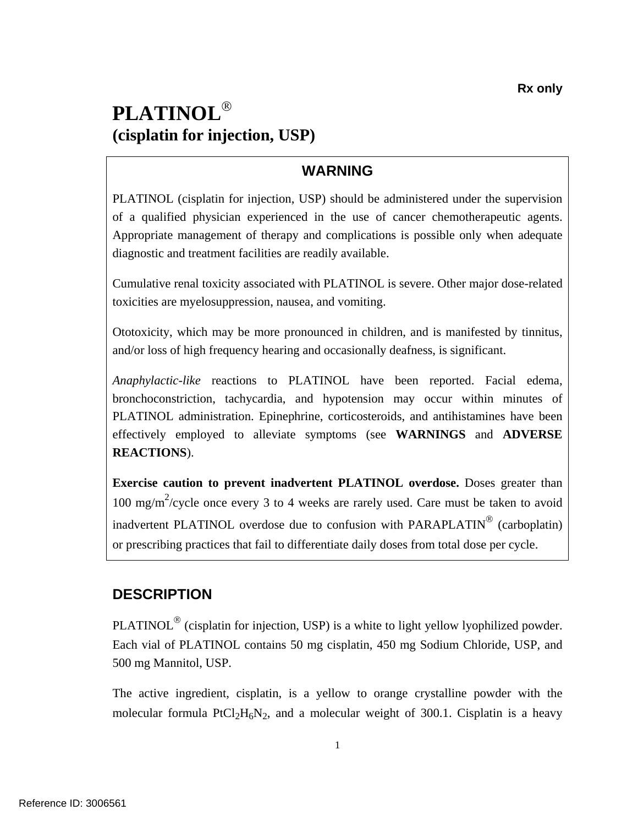# **PLATINOL**® **(cisplatin for injection, USP)**

# **WARNING**

PLATINOL (cisplatin for injection, USP) should be administered under the supervision of a qualified physician experienced in the use of cancer chemotherapeutic agents. Appropriate management of therapy and complications is possible only when adequate diagnostic and treatment facilities are readily available.

Cumulative renal toxicity associated with PLATINOL is severe. Other major dose-related toxicities are myelosuppression, nausea, and vomiting.

Ototoxicity, which may be more pronounced in children, and is manifested by tinnitus, and/or loss of high frequency hearing and occasionally deafness, is significant.

*Anaphylactic-like* reactions to PLATINOL have been reported. Facial edema, bronchoconstriction, tachycardia, and hypotension may occur within minutes of PLATINOL administration. Epinephrine, corticosteroids, and antihistamines have been effectively employed to alleviate symptoms (see **WARNINGS** and **ADVERSE REACTIONS**).

**Exercise caution to prevent inadvertent PLATINOL overdose.** Doses greater than  $100 \text{ mg/m}^2$ /cycle once every 3 to 4 weeks are rarely used. Care must be taken to avoid inadvertent PLATINOL overdose due to confusion with PARAPLATIN® (carboplatin) or prescribing practices that fail to differentiate daily doses from total dose per cycle.

### **DESCRIPTION**

PLATINOL<sup>®</sup> (cisplatin for injection, USP) is a white to light yellow lyophilized powder. Each vial of PLATINOL contains 50 mg cisplatin, 450 mg Sodium Chloride, USP, and 500 mg Mannitol, USP.

The active ingredient, cisplatin, is a yellow to orange crystalline powder with the molecular formula PtCl<sub>2</sub>H<sub>6</sub>N<sub>2</sub>, and a molecular weight of 300.1. Cisplatin is a heavy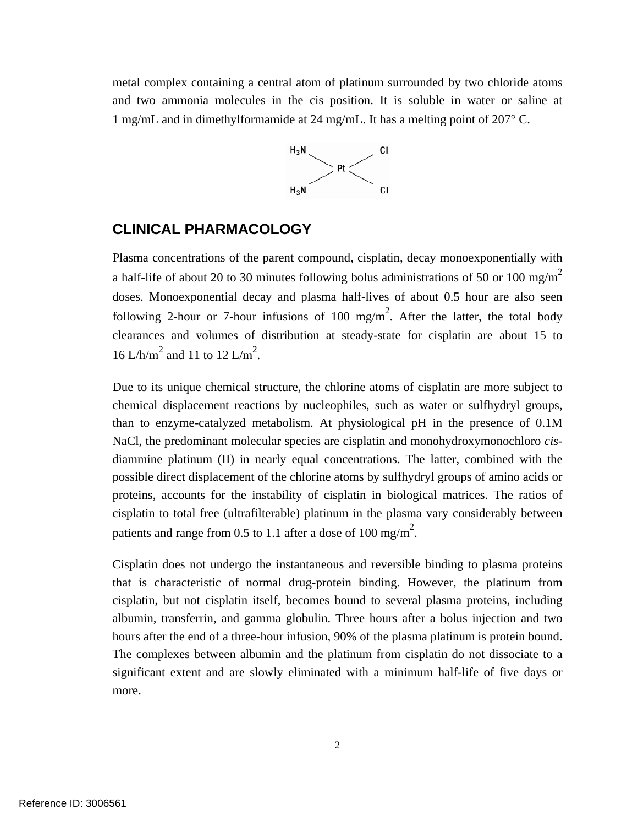<span id="page-1-0"></span>metal complex containing a central atom of platinum surrounded by two chloride atoms and two ammonia molecules in the cis position. It is soluble in water or saline at 1 mg/mL and in dimethylformamide at 24 mg/mL. It has a melting point of 207° C.



#### **CLINICAL PHARMACOLOGY**

Plasma concentrations of the parent compound, cisplatin, decay monoexponentially with a half-life of about 20 to 30 minutes following bolus administrations of 50 or 100 mg/m<sup>2</sup> doses. Monoexponential decay and plasma half-lives of about 0.5 hour are also seen following 2-hour or 7-hour infusions of 100 mg/m<sup>2</sup>. After the latter, the total body clearances and volumes of distribution at steady-state for cisplatin are about 15 to 16 L/h/m<sup>2</sup> and 11 to 12 L/m<sup>2</sup>.

Due to its unique chemical structure, the chlorine atoms of cisplatin are more subject to chemical displacement reactions by nucleophiles, such as water or sulfhydryl groups, than to enzyme-catalyzed metabolism. At physiological pH in the presence of 0.1M NaCl, the predominant molecular species are cisplatin and monohydroxymonochloro *cis*diammine platinum (II) in nearly equal concentrations. The latter, combined with the possible direct displacement of the chlorine atoms by sulfhydryl groups of amino acids or proteins, accounts for the instability of cisplatin in biological matrices. The ratios of cisplatin to total free (ultrafilterable) platinum in the plasma vary considerably between patients and range from 0.5 to 1.1 after a dose of 100 mg/m<sup>2</sup>.

 that is characteristic of normal drug-protein binding. However, the platinum from Cisplatin does not undergo the instantaneous and reversible binding to plasma proteins cisplatin, but not cisplatin itself, becomes bound to several plasma proteins, including albumin, transferrin, and gamma globulin. Three hours after a bolus injection and two hours after the end of a three-hour infusion, 90% of the plasma platinum is protein bound. The complexes between albumin and the platinum from cisplatin do not dissociate to a significant extent and are slowly eliminated with a minimum half-life of five days or more.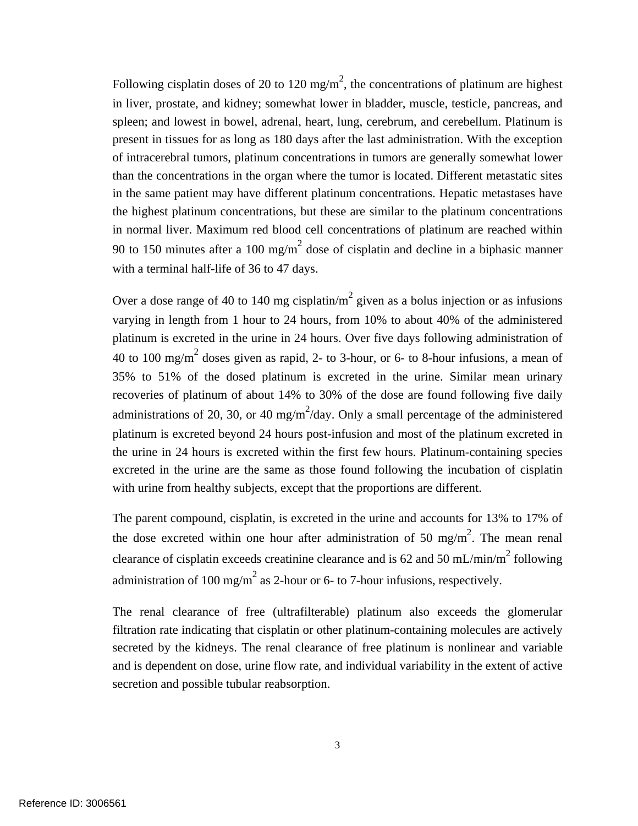Following cisplatin doses of 20 to 120 mg/m<sup>2</sup>, the concentrations of platinum are highest in liver, prostate, and kidney; somewhat lower in bladder, muscle, testicle, pancreas, and spleen; and lowest in bowel, adrenal, heart, lung, cerebrum, and cerebellum. Platinum is present in tissues for as long as 180 days after the last administration. With the exception of intracerebral tumors, platinum concentrations in tumors are generally somewhat lower than the concentrations in the organ where the tumor is located. Different metastatic sites in the same patient may have different platinum concentrations. Hepatic metastases have the highest platinum concentrations, but these are similar to the platinum concentrations in normal liver. Maximum red blood cell concentrations of platinum are reached within 90 to 150 minutes after a 100 mg/m<sup>2</sup> dose of cisplatin and decline in a biphasic manner with a terminal half-life of 36 to 47 days.

Over a dose range of 40 to 140 mg cisplatin/m<sup>2</sup> given as a bolus injection or as infusions varying in length from 1 hour to 24 hours, from 10% to about 40% of the administered platinum is excreted in the urine in 24 hours. Over five days following administration of 40 to 100 mg/m<sup>2</sup> doses given as rapid, 2- to 3-hour, or 6- to 8-hour infusions, a mean of 35% to 51% of the dosed platinum is excreted in the urine. Similar mean urinary recoveries of platinum of about 14% to 30% of the dose are found following five daily administrations of 20, 30, or 40 mg/m<sup>2</sup>/day. Only a small percentage of the administered platinum is excreted beyond 24 hours post-infusion and most of the platinum excreted in the urine in 24 hours is excreted within the first few hours. Platinum-containing species excreted in the urine are the same as those found following the incubation of cisplatin with urine from healthy subjects, except that the proportions are different.

The parent compound, cisplatin, is excreted in the urine and accounts for 13% to 17% of the dose excreted within one hour after administration of 50 mg/m<sup>2</sup>. The mean renal clearance of cisplatin exceeds creatinine clearance and is 62 and 50 mL/min/m<sup>2</sup> following administration of 100 mg/m<sup>2</sup> as 2-hour or 6- to 7-hour infusions, respectively.

The renal clearance of free (ultrafilterable) platinum also exceeds the glomerular filtration rate indicating that cisplatin or other platinum-containing molecules are actively secreted by the kidneys. The renal clearance of free platinum is nonlinear and variable and is dependent on dose, urine flow rate, and individual variability in the extent of active secretion and possible tubular reabsorption.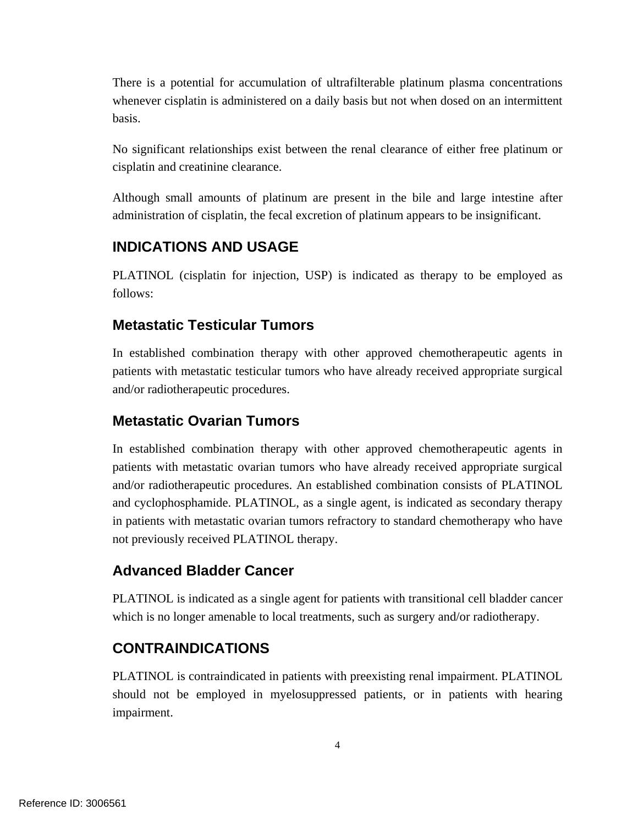There is a potential for accumulation of ultrafilterable platinum plasma concentrations whenever cisplatin is administered on a daily basis but not when dosed on an intermittent basis.

No significant relationships exist between the renal clearance of either free platinum or cisplatin and creatinine clearance.

Although small amounts of platinum are present in the bile and large intestine after administration of cisplatin, the fecal excretion of platinum appears to be insignificant.

## **INDICATIONS AND USAGE**

PLATINOL (cisplatin for injection, USP) is indicated as therapy to be employed as follows:

### **Metastatic Testicular Tumors**

In established combination therapy with other approved chemotherapeutic agents in patients with metastatic testicular tumors who have already received appropriate surgical and/or radiotherapeutic procedures.

### **Metastatic Ovarian Tumors**

In established combination therapy with other approved chemotherapeutic agents in patients with metastatic ovarian tumors who have already received appropriate surgical and/or radiotherapeutic procedures. An established combination consists of PLATINOL and cyclophosphamide. PLATINOL, as a single agent, is indicated as secondary therapy in patients with metastatic ovarian tumors refractory to standard chemotherapy who have not previously received PLATINOL therapy.

### **Advanced Bladder Cancer**

PLATINOL is indicated as a single agent for patients with transitional cell bladder cancer which is no longer amenable to local treatments, such as surgery and/or radiotherapy.

### **CONTRAINDICATIONS**

PLATINOL is contraindicated in patients with preexisting renal impairment. PLATINOL should not be employed in myelosuppressed patients, or in patients with hearing impairment.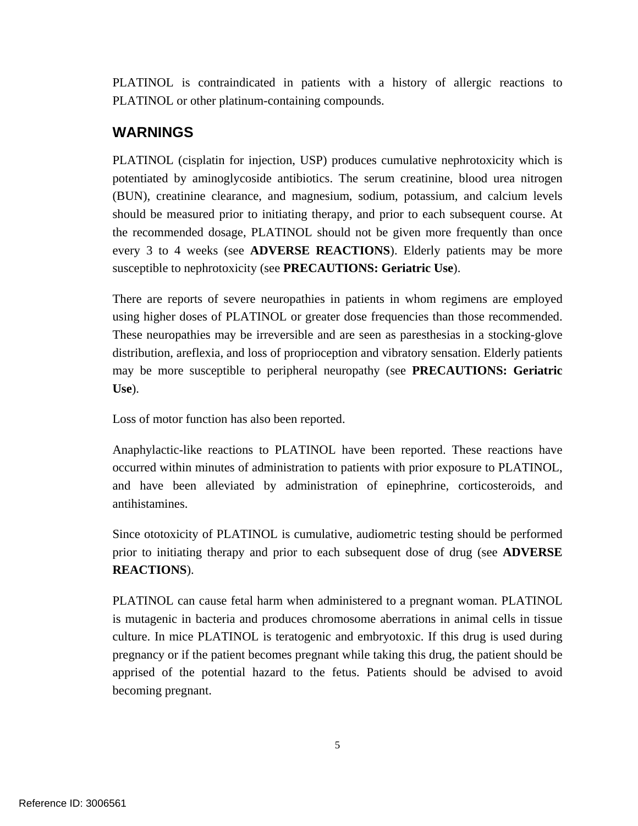PLATINOL is contraindicated in patients with a history of allergic reactions to PLATINOL or other platinum-containing compounds.

### **WARNINGS**

PLATINOL (cisplatin for injection, USP) produces cumulative nephrotoxicity which is potentiated by aminoglycoside antibiotics. The serum creatinine, blood urea nitrogen (BUN), creatinine clearance, and magnesium, sodium, potassium, and calcium levels should be measured prior to initiating therapy, and prior to each subsequent course. At the recommended dosage, PLATINOL should not be given more frequently than once every 3 to 4 weeks (see **ADVERSE REACTIONS**). Elderly patients may be more susceptible to nephrotoxicity (see **PRECAUTIONS: Geriatric Use**).

There are reports of severe neuropathies in patients in whom regimens are employed using higher doses of PLATINOL or greater dose frequencies than those recommended. These neuropathies may be irreversible and are seen as paresthesias in a stocking-glove distribution, areflexia, and loss of proprioception and vibratory sensation. Elderly patients may be more susceptible to peripheral neuropathy (see **PRECAUTIONS: Geriatric Use**).

Loss of motor function has also been reported.

Anaphylactic-like reactions to PLATINOL have been reported. These reactions have occurred within minutes of administration to patients with prior exposure to PLATINOL, and have been alleviated by administration of epinephrine, corticosteroids, and antihistamines.

Since ototoxicity of PLATINOL is cumulative, audiometric testing should be performed prior to initiating therapy and prior to each subsequent dose of drug (see **ADVERSE REACTIONS**).

PLATINOL can cause fetal harm when administered to a pregnant woman. PLATINOL is mutagenic in bacteria and produces chromosome aberrations in animal cells in tissue culture. In mice PLATINOL is teratogenic and embryotoxic. If this drug is used during pregnancy or if the patient becomes pregnant while taking this drug, the patient should be apprised of the potential hazard to the fetus. Patients should be advised to avoid becoming pregnant.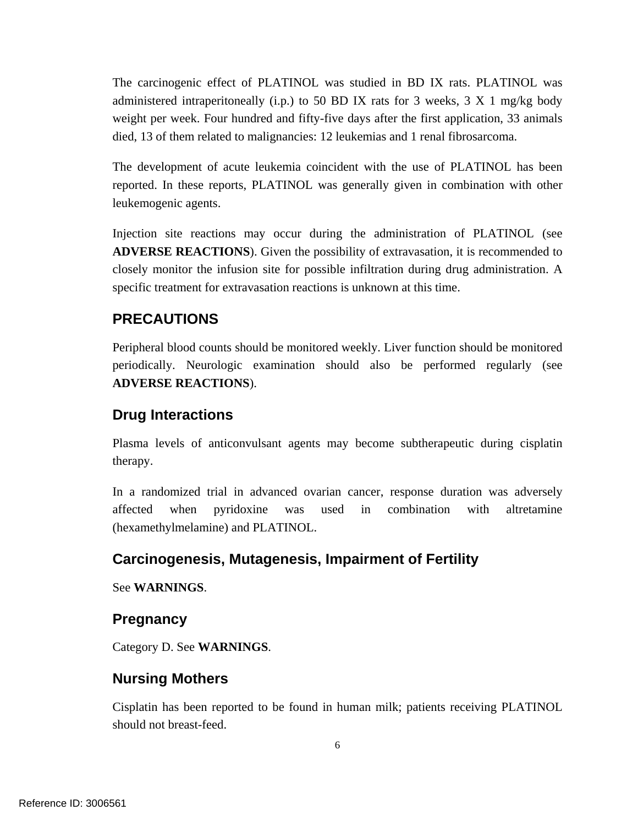The carcinogenic effect of PLATINOL was studied in BD IX rats. PLATINOL was administered intraperitoneally (i.p.) to 50 BD IX rats for 3 weeks, 3 X 1 mg/kg body weight per week. Four hundred and fifty-five days after the first application, 33 animals died, 13 of them related to malignancies: 12 leukemias and 1 renal fibrosarcoma.

The development of acute leukemia coincident with the use of PLATINOL has been reported. In these reports, PLATINOL was generally given in combination with other leukemogenic agents.

Injection site reactions may occur during the administration of PLATINOL (see **ADVERSE REACTIONS**). Given the possibility of extravasation, it is recommended to closely monitor the infusion site for possible infiltration during drug administration. A specific treatment for extravasation reactions is unknown at this time.

### **PRECAUTIONS**

Peripheral blood counts should be monitored weekly. Liver function should be monitored periodically. Neurologic examination should also be performed regularly (see **ADVERSE REACTIONS**).

### **Drug Interactions**

Plasma levels of anticonvulsant agents may become subtherapeutic during cisplatin therapy.

In a randomized trial in advanced ovarian cancer, response duration was adversely affected when pyridoxine was used in combination with altretamine (hexamethylmelamine) and PLATINOL.

### **Carcinogenesis, Mutagenesis, Impairment of Fertility**

See **WARNINGS**.

### **Pregnancy**

Category D. See **WARNINGS**.

### **Nursing Mothers**

Cisplatin has been reported to be found in human milk; patients receiving PLATINOL should not breast-feed.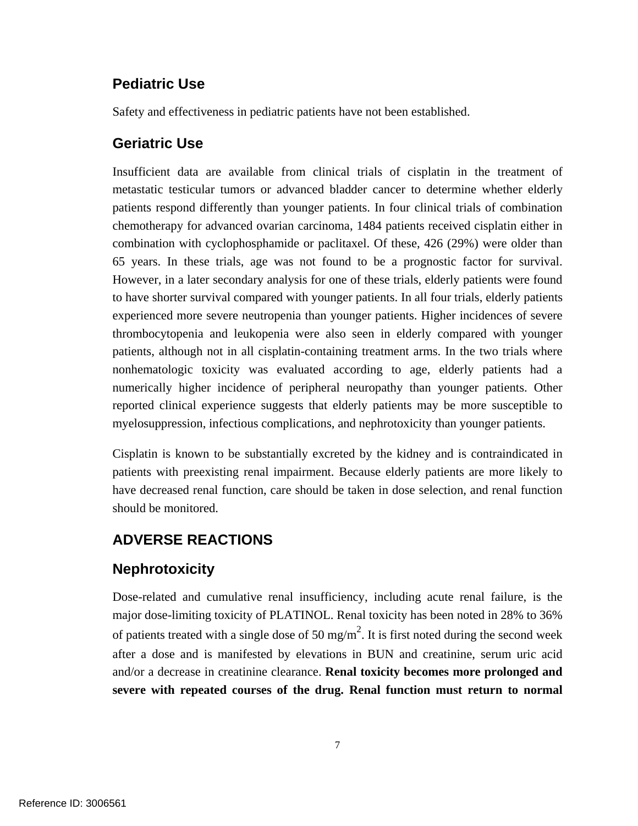### **Pediatric Use**

Safety and effectiveness in pediatric patients have not been established.

#### **Geriatric Use**

Insufficient data are available from clinical trials of cisplatin in the treatment of metastatic testicular tumors or advanced bladder cancer to determine whether elderly patients respond differently than younger patients. In four clinical trials of combination chemotherapy for advanced ovarian carcinoma, 1484 patients received cisplatin either in combination with cyclophosphamide or paclitaxel. Of these, 426 (29%) were older than 65 years. In these trials, age was not found to be a prognostic factor for survival. However, in a later secondary analysis for one of these trials, elderly patients were found to have shorter survival compared with younger patients. In all four trials, elderly patients experienced more severe neutropenia than younger patients. Higher incidences of severe thrombocytopenia and leukopenia were also seen in elderly compared with younger patients, although not in all cisplatin-containing treatment arms. In the two trials where nonhematologic toxicity was evaluated according to age, elderly patients had a numerically higher incidence of peripheral neuropathy than younger patients. Other reported clinical experience suggests that elderly patients may be more susceptible to myelosuppression, infectious complications, and nephrotoxicity than younger patients.

Cisplatin is known to be substantially excreted by the kidney and is contraindicated in patients with preexisting renal impairment. Because elderly patients are more likely to have decreased renal function, care should be taken in dose selection, and renal function should be monitored.

### **ADVERSE REACTIONS**

### **Nephrotoxicity**

Dose-related and cumulative renal insufficiency, including acute renal failure, is the major dose-limiting toxicity of PLATINOL. Renal toxicity has been noted in 28% to 36% of patients treated with a single dose of 50 mg/m<sup>2</sup>. It is first noted during the second week after a dose and is manifested by elevations in BUN and creatinine, serum uric acid and/or a decrease in creatinine clearance. **Renal toxicity becomes more prolonged and severe with repeated courses of the drug. Renal function must return to normal**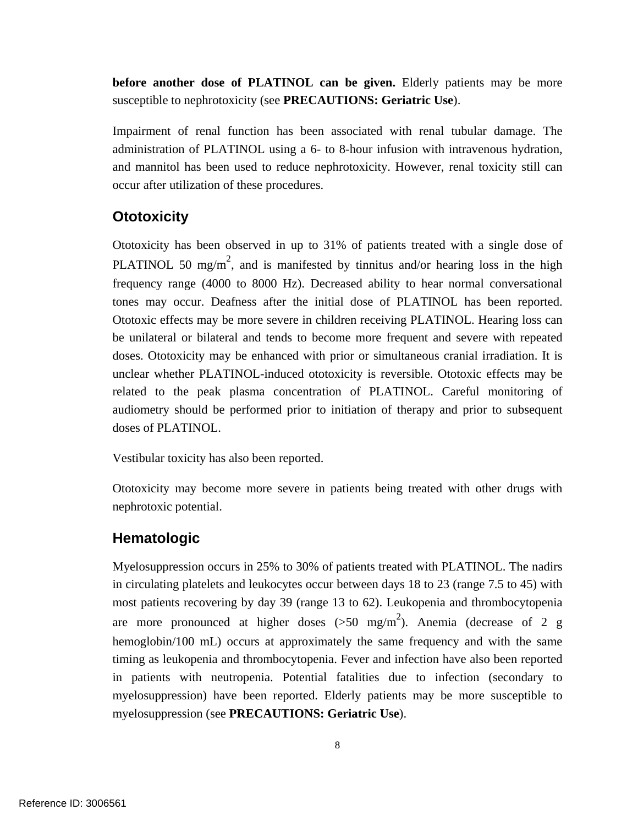**before another dose of PLATINOL can be given.** Elderly patients may be more susceptible to nephrotoxicity (see **PRECAUTIONS: Geriatric Use**).

Impairment of renal function has been associated with renal tubular damage. The administration of PLATINOL using a 6- to 8-hour infusion with intravenous hydration, and mannitol has been used to reduce nephrotoxicity. However, renal toxicity still can occur after utilization of these procedures.

### **Ototoxicity**

Ototoxicity has been observed in up to 31% of patients treated with a single dose of PLATINOL 50 mg/m<sup>2</sup>, and is manifested by tinnitus and/or hearing loss in the high frequency range (4000 to 8000 Hz). Decreased ability to hear normal conversational tones may occur. Deafness after the initial dose of PLATINOL has been reported. Ototoxic effects may be more severe in children receiving PLATINOL. Hearing loss can be unilateral or bilateral and tends to become more frequent and severe with repeated doses. Ototoxicity may be enhanced with prior or simultaneous cranial irradiation. It is unclear whether PLATINOL-induced ototoxicity is reversible. Ototoxic effects may be related to the peak plasma concentration of PLATINOL. Careful monitoring of audiometry should be performed prior to initiation of therapy and prior to subsequent doses of PLATINOL.

Vestibular toxicity has also been reported.

Ototoxicity may become more severe in patients being treated with other drugs with nephrotoxic potential.

### **Hematologic**

Myelosuppression occurs in 25% to 30% of patients treated with PLATINOL. The nadirs in circulating platelets and leukocytes occur between days 18 to 23 (range 7.5 to 45) with most patients recovering by day 39 (range 13 to 62). Leukopenia and thrombocytopenia are more pronounced at higher doses  $(>50 \text{ mg/m}^2)$ . Anemia (decrease of 2 g hemoglobin/100 mL) occurs at approximately the same frequency and with the same timing as leukopenia and thrombocytopenia. Fever and infection have also been reported in patients with neutropenia. Potential fatalities due to infection (secondary to myelosuppression) have been reported. Elderly patients may be more susceptible to myelosuppression (see **PRECAUTIONS: Geriatric Use**).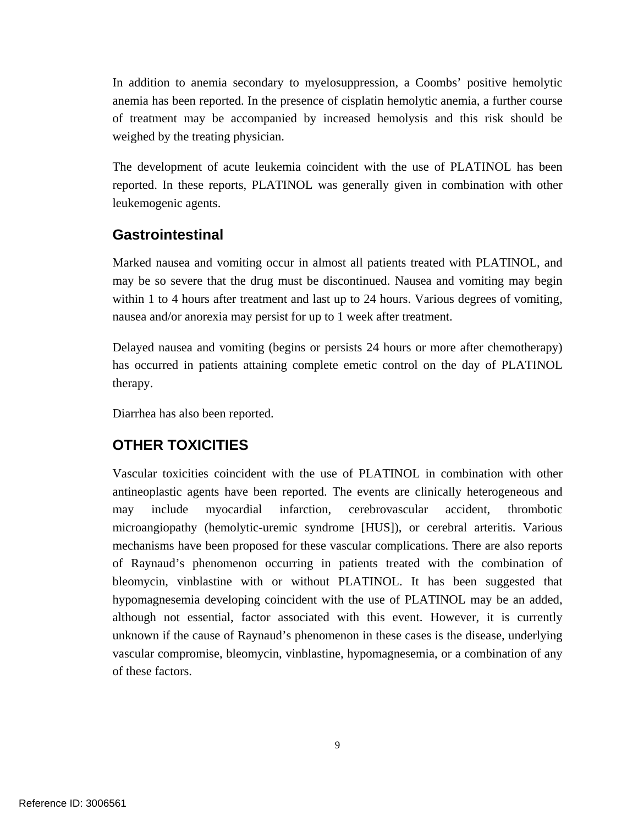In addition to anemia secondary to myelosuppression, a Coombs' positive hemolytic anemia has been reported. In the presence of cisplatin hemolytic anemia, a further course of treatment may be accompanied by increased hemolysis and this risk should be weighed by the treating physician.

The development of acute leukemia coincident with the use of PLATINOL has been reported. In these reports, PLATINOL was generally given in combination with other leukemogenic agents.

### **Gastrointestinal**

Marked nausea and vomiting occur in almost all patients treated with PLATINOL, and may be so severe that the drug must be discontinued. Nausea and vomiting may begin within 1 to 4 hours after treatment and last up to 24 hours. Various degrees of vomiting, nausea and/or anorexia may persist for up to 1 week after treatment.

Delayed nausea and vomiting (begins or persists 24 hours or more after chemotherapy) has occurred in patients attaining complete emetic control on the day of PLATINOL therapy.

Diarrhea has also been reported.

### **OTHER TOXICITIES**

Vascular toxicities coincident with the use of PLATINOL in combination with other antineoplastic agents have been reported. The events are clinically heterogeneous and may include myocardial infarction, cerebrovascular accident, thrombotic microangiopathy (hemolytic-uremic syndrome [HUS]), or cerebral arteritis. Various mechanisms have been proposed for these vascular complications. There are also reports of Raynaud's phenomenon occurring in patients treated with the combination of bleomycin, vinblastine with or without PLATINOL. It has been suggested that hypomagnesemia developing coincident with the use of PLATINOL may be an added, although not essential, factor associated with this event. However, it is currently unknown if the cause of Raynaud's phenomenon in these cases is the disease, underlying vascular compromise, bleomycin, vinblastine, hypomagnesemia, or a combination of any of these factors.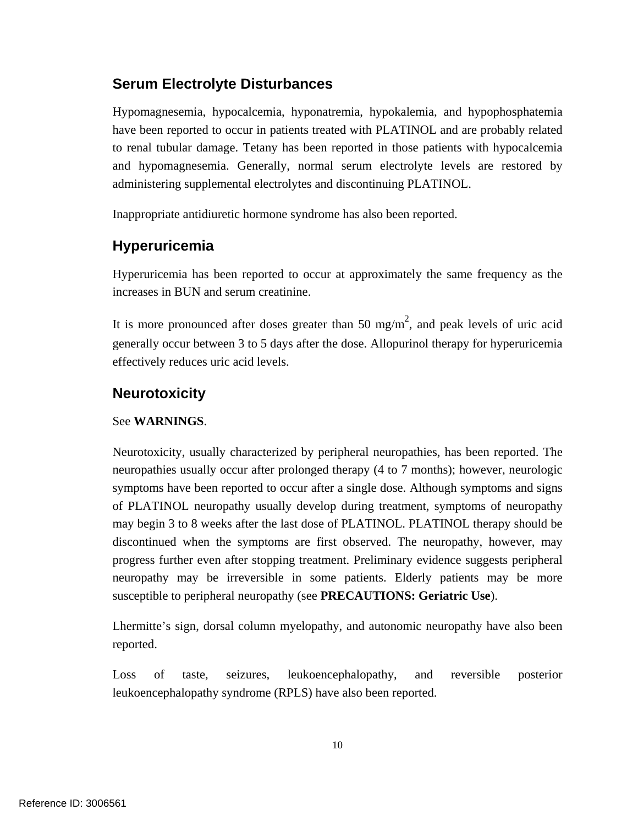### **Serum Electrolyte Disturbances**

Hypomagnesemia, hypocalcemia, hyponatremia, hypokalemia, and hypophosphatemia have been reported to occur in patients treated with PLATINOL and are probably related to renal tubular damage. Tetany has been reported in those patients with hypocalcemia and hypomagnesemia. Generally, normal serum electrolyte levels are restored by administering supplemental electrolytes and discontinuing PLATINOL.

Inappropriate antidiuretic hormone syndrome has also been reported.

# **Hyperuricemia**

Hyperuricemia has been reported to occur at approximately the same frequency as the increases in BUN and serum creatinine.

It is more pronounced after doses greater than 50 mg/m<sup>2</sup>, and peak levels of uric acid generally occur between 3 to 5 days after the dose. Allopurinol therapy for hyperuricemia effectively reduces uric acid levels.

### **Neurotoxicity**

#### See **WARNINGS**.

Neurotoxicity, usually characterized by peripheral neuropathies, has been reported. The neuropathies usually occur after prolonged therapy (4 to 7 months); however, neurologic symptoms have been reported to occur after a single dose. Although symptoms and signs of PLATINOL neuropathy usually develop during treatment, symptoms of neuropathy may begin 3 to 8 weeks after the last dose of PLATINOL. PLATINOL therapy should be discontinued when the symptoms are first observed. The neuropathy, however, may progress further even after stopping treatment. Preliminary evidence suggests peripheral neuropathy may be irreversible in some patients. Elderly patients may be more susceptible to peripheral neuropathy (see **PRECAUTIONS: Geriatric Use**).

Lhermitte's sign, dorsal column myelopathy, and autonomic neuropathy have also been reported.

Loss of taste, seizures, leukoencephalopathy, and reversible posterior leukoencephalopathy syndrome (RPLS) have also been reported.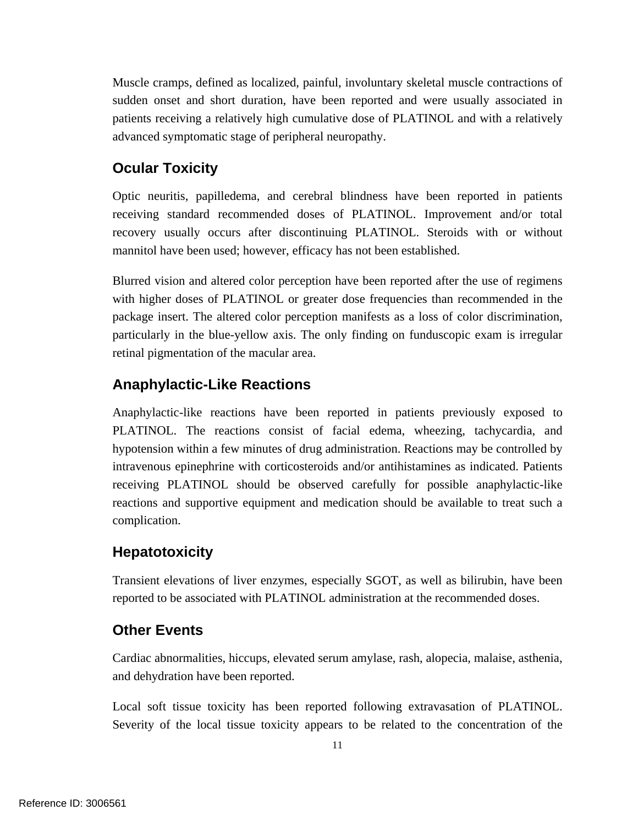Muscle cramps, defined as localized, painful, involuntary skeletal muscle contractions of sudden onset and short duration, have been reported and were usually associated in patients receiving a relatively high cumulative dose of PLATINOL and with a relatively advanced symptomatic stage of peripheral neuropathy.

# **Ocular Toxicity**

Optic neuritis, papilledema, and cerebral blindness have been reported in patients receiving standard recommended doses of PLATINOL. Improvement and/or total recovery usually occurs after discontinuing PLATINOL. Steroids with or without mannitol have been used; however, efficacy has not been established.

Blurred vision and altered color perception have been reported after the use of regimens with higher doses of PLATINOL or greater dose frequencies than recommended in the package insert. The altered color perception manifests as a loss of color discrimination, particularly in the blue-yellow axis. The only finding on funduscopic exam is irregular retinal pigmentation of the macular area.

### **Anaphylactic-Like Reactions**

Anaphylactic-like reactions have been reported in patients previously exposed to PLATINOL. The reactions consist of facial edema, wheezing, tachycardia, and hypotension within a few minutes of drug administration. Reactions may be controlled by intravenous epinephrine with corticosteroids and/or antihistamines as indicated. Patients receiving PLATINOL should be observed carefully for possible anaphylactic-like reactions and supportive equipment and medication should be available to treat such a complication.

### **Hepatotoxicity**

Transient elevations of liver enzymes, especially SGOT, as well as bilirubin, have been reported to be associated with PLATINOL administration at the recommended doses.

### **Other Events**

Cardiac abnormalities, hiccups, elevated serum amylase, rash, alopecia, malaise, asthenia, and dehydration have been reported.

Local soft tissue toxicity has been reported following extravasation of PLATINOL. Severity of the local tissue toxicity appears to be related to the concentration of the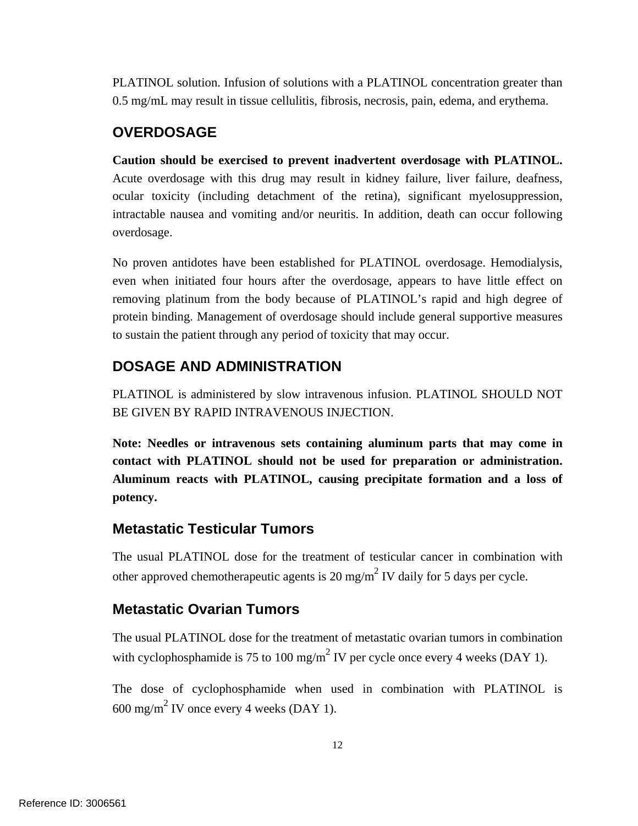PLATINOL solution. Infusion of solutions with a PLATINOL concentration greater than 0.5 mg/mL may result in tissue cellulitis, fibrosis, necrosis, pain, edema, and erythema.

### **OVERDOSAGE**

**Caution should be exercised to prevent inadvertent overdosage with PLATINOL.**  Acute overdosage with this drug may result in kidney failure, liver failure, deafness, ocular toxicity (including detachment of the retina), significant myelosuppression, intractable nausea and vomiting and/or neuritis. In addition, death can occur following overdosage.

No proven antidotes have been established for PLATINOL overdosage. Hemodialysis, even when initiated four hours after the overdosage, appears to have little effect on removing platinum from the body because of PLATINOL's rapid and high degree of protein binding. Management of overdosage should include general supportive measures to sustain the patient through any period of toxicity that may occur.

### **DOSAGE AND ADMINISTRATION**

PLATINOL is administered by slow intravenous infusion. PLATINOL SHOULD NOT BE GIVEN BY RAPID INTRAVENOUS INJECTION.

**Note: Needles or intravenous sets containing aluminum parts that may come in contact with PLATINOL should not be used for preparation or administration. Aluminum reacts with PLATINOL, causing precipitate formation and a loss of potency.** 

### **Metastatic Testicular Tumors**

The usual PLATINOL dose for the treatment of testicular cancer in combination with other approved chemotherapeutic agents is 20 mg/m<sup>2</sup> IV daily for 5 days per cycle.

### **Metastatic Ovarian Tumors**

The usual PLATINOL dose for the treatment of metastatic ovarian tumors in combination with cyclophosphamide is 75 to 100 mg/m<sup>2</sup> IV per cycle once every 4 weeks (DAY 1).

The dose of cyclophosphamide when used in combination with PLATINOL is  $600 \text{ mg/m}^2$  IV once every 4 weeks (DAY 1).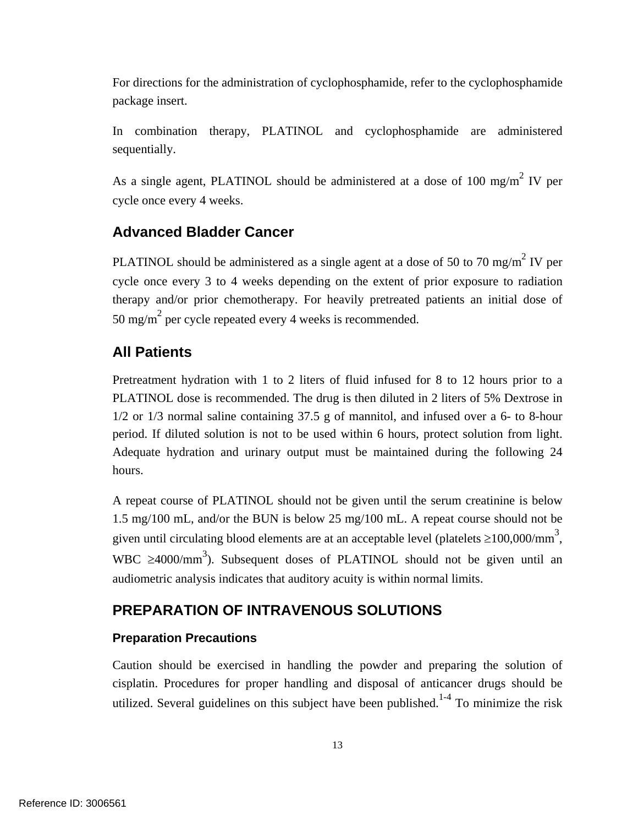For directions for the administration of cyclophosphamide, refer to the cyclophosphamide package insert.

In combination therapy, PLATINOL and cyclophosphamide are administered sequentially.

As a single agent, PLATINOL should be administered at a dose of 100 mg/m<sup>2</sup> IV per cycle once every 4 weeks.

### **Advanced Bladder Cancer**

PLATINOL should be administered as a single agent at a dose of 50 to 70 mg/m<sup>2</sup> IV per cycle once every 3 to 4 weeks depending on the extent of prior exposure to radiation therapy and/or prior chemotherapy. For heavily pretreated patients an initial dose of 50 mg/m<sup>2</sup> per cycle repeated every 4 weeks is recommended.

### **All Patients**

Pretreatment hydration with 1 to 2 liters of fluid infused for 8 to 12 hours prior to a PLATINOL dose is recommended. The drug is then diluted in 2 liters of 5% Dextrose in 1/2 or 1/3 normal saline containing 37.5 g of mannitol, and infused over a 6- to 8-hour period. If diluted solution is not to be used within 6 hours, protect solution from light. Adequate hydration and urinary output must be maintained during the following 24 hours.

A repeat course of PLATINOL should not be given until the serum creatinine is below 1.5 mg/100 mL, and/or the BUN is below 25 mg/100 mL. A repeat course should not be given until circulating blood elements are at an acceptable level (platelets  $\geq$ 100,000/mm<sup>3</sup>, WBC  $\geq$ 4000/mm<sup>3</sup>). Subsequent doses of PLATINOL should not be given until an audiometric analysis indicates that auditory acuity is within normal limits.

# **PREPARATION OF INTRAVENOUS SOLUTIONS**

#### **Preparation Precautions**

Caution should be exercised in handling the powder and preparing the solution of cisplatin. Procedures for proper handling and disposal of anticancer drugs should be utilized. Several guidelines on this subject have been published.<sup>1-4</sup> To minimize the risk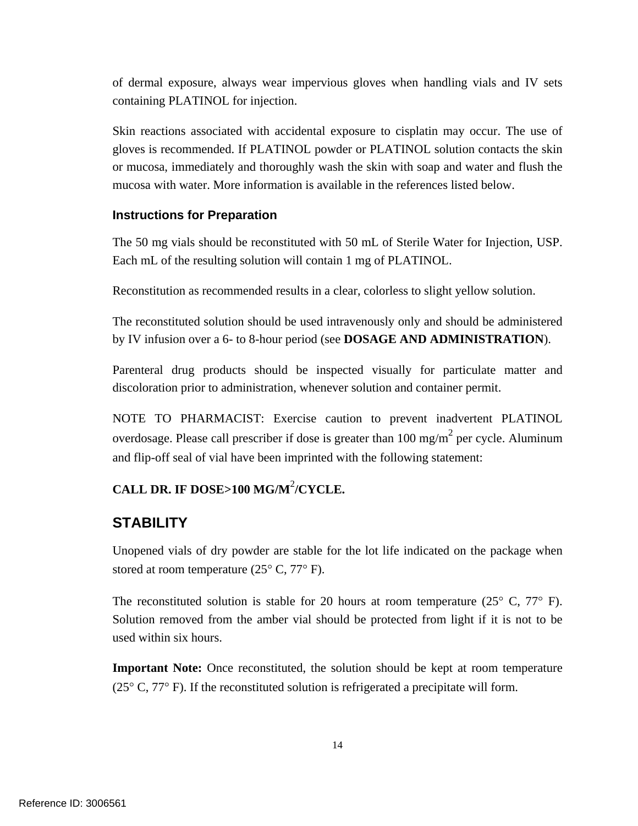of dermal exposure, always wear impervious gloves when handling vials and IV sets containing PLATINOL for injection.

Skin reactions associated with accidental exposure to cisplatin may occur. The use of gloves is recommended. If PLATINOL powder or PLATINOL solution contacts the skin or mucosa, immediately and thoroughly wash the skin with soap and water and flush the mucosa with water. More information is available in the references listed below.

#### **Instructions for Preparation**

The 50 mg vials should be reconstituted with 50 mL of Sterile Water for Injection, USP. Each mL of the resulting solution will contain 1 mg of PLATINOL.

Reconstitution as recommended results in a clear, colorless to slight yellow solution.

The reconstituted solution should be used intravenously only and should be administered by IV infusion over a 6- to 8-hour period (see **DOSAGE AND ADMINISTRATION**).

Parenteral drug products should be inspected visually for particulate matter and discoloration prior to administration, whenever solution and container permit.

NOTE TO PHARMACIST: Exercise caution to prevent inadvertent PLATINOL overdosage. Please call prescriber if dose is greater than  $100 \text{ mg/m}^2$  per cycle. Aluminum and flip-off seal of vial have been imprinted with the following statement:

## **CALL DR. IF DOSE>100 MG/M**<sup>2</sup> **/CYCLE.**

#### **STABILITY**

Unopened vials of dry powder are stable for the lot life indicated on the package when stored at room temperature  $(25^{\circ} \text{ C}, 77^{\circ} \text{ F})$ .

The reconstituted solution is stable for 20 hours at room temperature  $(25^{\circ} \text{ C}, 77^{\circ} \text{ F})$ . Solution removed from the amber vial should be protected from light if it is not to be used within six hours.

**Important Note:** Once reconstituted, the solution should be kept at room temperature ( $25^{\circ}$  C,  $77^{\circ}$  F). If the reconstituted solution is refrigerated a precipitate will form.